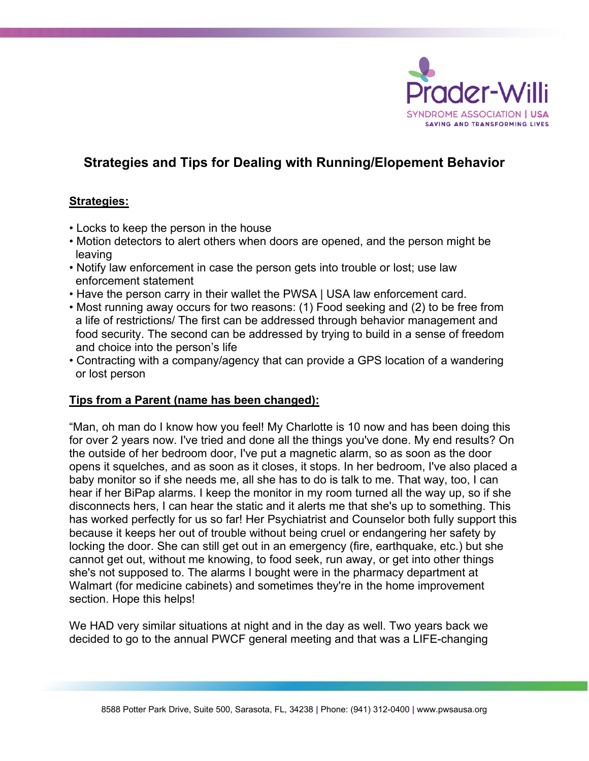

## **Strategies and Tips for Dealing with Running/Elopement Behavior**

## **Strategies:**

- Locks to keep the person in the house
- Motion detectors to alert others when doors are opened, and the person might be leaving
- Notify law enforcement in case the person gets into trouble or lost; use law enforcement statement
- Have the person carry in their wallet the PWSA | USA law enforcement card.
- Most running away occurs for two reasons: (1) Food seeking and (2) to be free from a life of restrictions/ The first can be addressed through behavior management and food security. The second can be addressed by trying to build in a sense of freedom and choice into the person's life
- Contracting with a company/agency that can provide a GPS location of a wandering or lost person

## **Tips from a Parent (name has been changed):**

"Man, oh man do I know how you feel! My Charlotte is 10 now and has been doing this for over 2 years now. I've tried and done all the things you've done. My end results? On the outside of her bedroom door, I've put a magnetic alarm, so as soon as the door opens it squelches, and as soon as it closes, it stops. In her bedroom, I've also placed a baby monitor so if she needs me, all she has to do is talk to me. That way, too, I can hear if her BiPap alarms. I keep the monitor in my room turned all the way up, so if she disconnects hers, I can hear the static and it alerts me that she's up to something. This has worked perfectly for us so far! Her Psychiatrist and Counselor both fully support this because it keeps her out of trouble without being cruel or endangering her safety by locking the door. She can still get out in an emergency (fire, earthquake, etc.) but she cannot get out, without me knowing, to food seek, run away, or get into other things she's not supposed to. The alarms I bought were in the pharmacy department at Walmart (for medicine cabinets) and sometimes they're in the home improvement section. Hope this helps!

We HAD very similar situations at night and in the day as well. Two years back we decided to go to the annual PWCF general meeting and that was a LIFE-changing